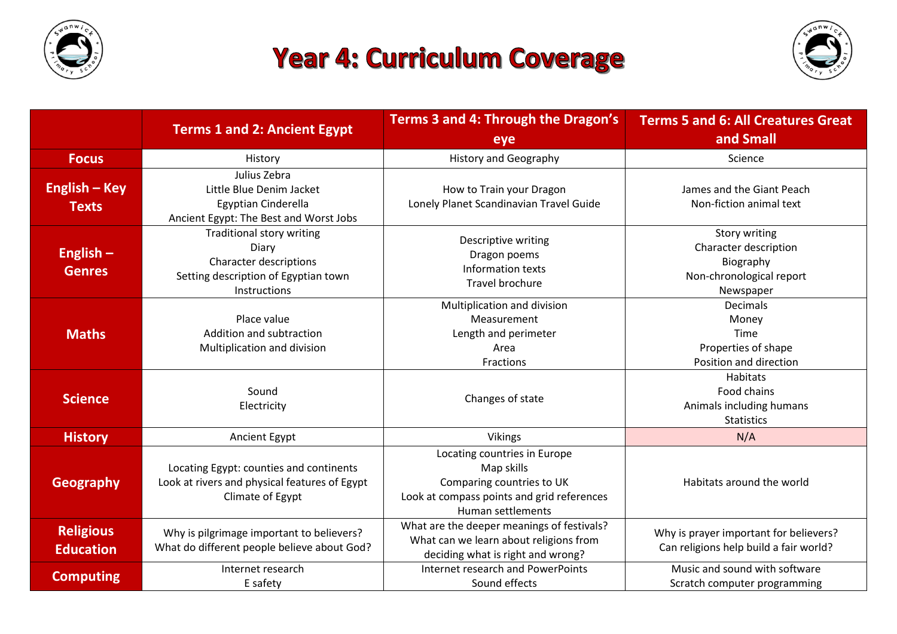

## **Year 4: Curriculum Coverage**



|                                      | <b>Terms 1 and 2: Ancient Egypt</b>                                                                                         | Terms 3 and 4: Through the Dragon's<br>eye                                                                                                 | <b>Terms 5 and 6: All Creatures Great</b><br>and Small                                       |
|--------------------------------------|-----------------------------------------------------------------------------------------------------------------------------|--------------------------------------------------------------------------------------------------------------------------------------------|----------------------------------------------------------------------------------------------|
| <b>Focus</b>                         | History                                                                                                                     | <b>History and Geography</b>                                                                                                               | Science                                                                                      |
| <b>English - Key</b><br><b>Texts</b> | Julius Zebra<br>Little Blue Denim Jacket<br>Egyptian Cinderella<br>Ancient Egypt: The Best and Worst Jobs                   | How to Train your Dragon<br>Lonely Planet Scandinavian Travel Guide                                                                        | James and the Giant Peach<br>Non-fiction animal text                                         |
| English $-$<br><b>Genres</b>         | <b>Traditional story writing</b><br>Diary<br>Character descriptions<br>Setting description of Egyptian town<br>Instructions | Descriptive writing<br>Dragon poems<br>Information texts<br><b>Travel brochure</b>                                                         | Story writing<br>Character description<br>Biography<br>Non-chronological report<br>Newspaper |
| <b>Maths</b>                         | Place value<br>Addition and subtraction<br>Multiplication and division                                                      | Multiplication and division<br>Measurement<br>Length and perimeter<br>Area<br>Fractions                                                    | Decimals<br>Money<br>Time<br>Properties of shape<br>Position and direction                   |
| <b>Science</b>                       | Sound<br>Electricity                                                                                                        | Changes of state                                                                                                                           | Habitats<br>Food chains<br>Animals including humans<br><b>Statistics</b>                     |
| <b>History</b>                       | Ancient Egypt                                                                                                               | <b>Vikings</b>                                                                                                                             | N/A                                                                                          |
| <b>Geography</b>                     | Locating Egypt: counties and continents<br>Look at rivers and physical features of Egypt<br>Climate of Egypt                | Locating countries in Europe<br>Map skills<br>Comparing countries to UK<br>Look at compass points and grid references<br>Human settlements | Habitats around the world                                                                    |
| <b>Religious</b><br><b>Education</b> | Why is pilgrimage important to believers?<br>What do different people believe about God?                                    | What are the deeper meanings of festivals?<br>What can we learn about religions from<br>deciding what is right and wrong?                  | Why is prayer important for believers?<br>Can religions help build a fair world?             |
| <b>Computing</b>                     | Internet research<br>E safety                                                                                               | Internet research and PowerPoints<br>Sound effects                                                                                         | Music and sound with software<br>Scratch computer programming                                |